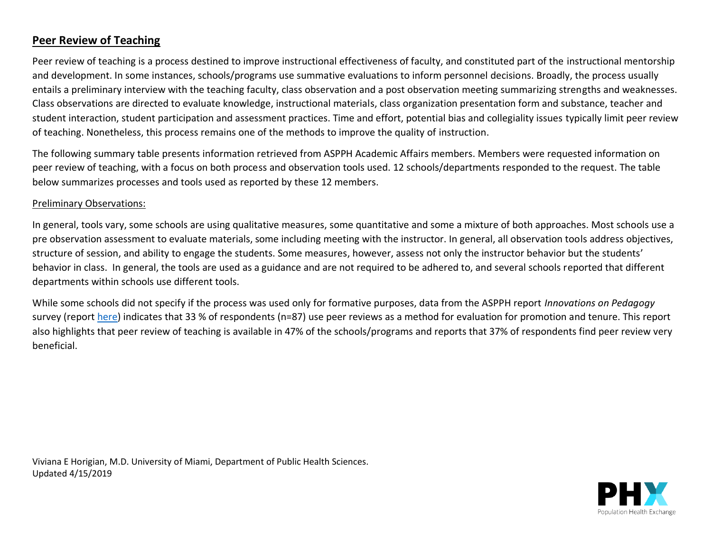#### **Peer Review of Teaching**

Peer review of teaching is a process destined to improve instructional effectiveness of faculty, and constituted part of the instructional mentorship and development. In some instances, schools/programs use summative evaluations to inform personnel decisions. Broadly, the process usually entails a preliminary interview with the teaching faculty, class observation and a post observation meeting summarizing strengths and weaknesses. Class observations are directed to evaluate knowledge, instructional materials, class organization presentation form and substance, teacher and student interaction, student participation and assessment practices. Time and effort, potential bias and collegiality issues typically limit peer review of teaching. Nonetheless, this process remains one of the methods to improve the quality of instruction.

The following summary table presents information retrieved from ASPPH Academic Affairs members. Members were requested information on peer review of teaching, with a focus on both process and observation tools used. 12 schools/departments responded to the request. The table below summarizes processes and tools used as reported by these 12 members.

#### Preliminary Observations:

In general, tools vary, some schools are using qualitative measures, some quantitative and some a mixture of both approaches. Most schools use a pre observation assessment to evaluate materials, some including meeting with the instructor. In general, all observation tools address objectives, structure of session, and ability to engage the students. Some measures, however, assess not only the instructor behavior but the students' behavior in class. In general, the tools are used as a guidance and are not required to be adhered to, and several schools reported that different departments within schools use different tools.

While some schools did not specify if the process was used only for formative purposes, data from the ASPPH report *Innovations on Pedagogy* survey (report [here\)](https://s3.amazonaws.com/ASPPH_Media_Files/Docs/Innovation_in_Pedagogy_Report_FINALwithAppendix+(1).pdf) indicates that 33 % of respondents (n=87) use peer reviews as a method for evaluation for promotion and tenure. This report also highlights that peer review of teaching is available in 47% of the schools/programs and reports that 37% of respondents find peer review very beneficial.

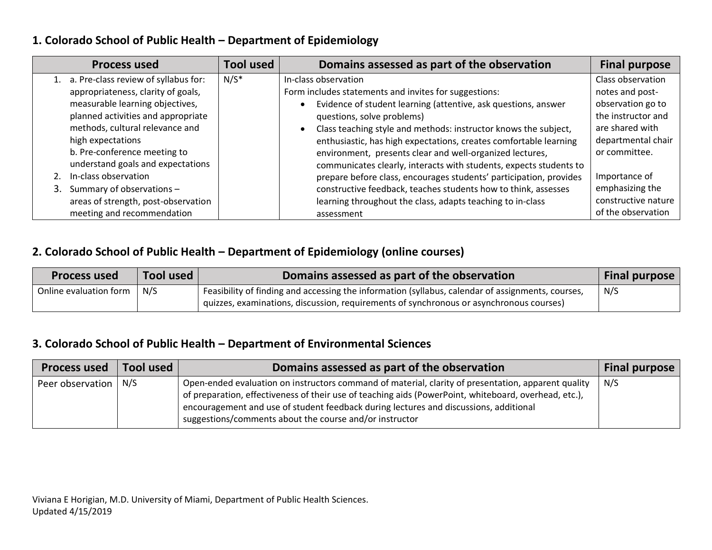#### **1. Colorado School of Public Health – Department of Epidemiology**

| <b>Process used</b>                                                                                                                                                                                                                                                                                         | <b>Tool used</b> | Domains assessed as part of the observation                                                                                                                                                                                                                                                                                                                                                                                                                                                                                   | <b>Final purpose</b>                                                                                                                                       |
|-------------------------------------------------------------------------------------------------------------------------------------------------------------------------------------------------------------------------------------------------------------------------------------------------------------|------------------|-------------------------------------------------------------------------------------------------------------------------------------------------------------------------------------------------------------------------------------------------------------------------------------------------------------------------------------------------------------------------------------------------------------------------------------------------------------------------------------------------------------------------------|------------------------------------------------------------------------------------------------------------------------------------------------------------|
| 1. a. Pre-class review of syllabus for:<br>appropriateness, clarity of goals,<br>measurable learning objectives,<br>planned activities and appropriate<br>methods, cultural relevance and<br>high expectations<br>b. Pre-conference meeting to<br>understand goals and expectations<br>In-class observation | $N/S^*$          | In-class observation<br>Form includes statements and invites for suggestions:<br>Evidence of student learning (attentive, ask questions, answer<br>questions, solve problems)<br>Class teaching style and methods: instructor knows the subject,<br>enthusiastic, has high expectations, creates comfortable learning<br>environment, presents clear and well-organized lectures,<br>communicates clearly, interacts with students, expects students to<br>prepare before class, encourages students' participation, provides | Class observation<br>notes and post-<br>observation go to<br>the instructor and<br>are shared with<br>departmental chair<br>or committee.<br>Importance of |
| 3. Summary of observations -                                                                                                                                                                                                                                                                                |                  | constructive feedback, teaches students how to think, assesses                                                                                                                                                                                                                                                                                                                                                                                                                                                                | emphasizing the                                                                                                                                            |
| areas of strength, post-observation<br>meeting and recommendation                                                                                                                                                                                                                                           |                  | learning throughout the class, adapts teaching to in-class<br>assessment                                                                                                                                                                                                                                                                                                                                                                                                                                                      | constructive nature<br>of the observation                                                                                                                  |

#### **2. Colorado School of Public Health – Department of Epidemiology (online courses)**

| <b>Process used</b>    | Tool used | Domains assessed as part of the observation                                                       | Final purpose |
|------------------------|-----------|---------------------------------------------------------------------------------------------------|---------------|
| Online evaluation form | N/S       | Feasibility of finding and accessing the information (syllabus, calendar of assignments, courses, | N/S           |
|                        |           | quizzes, examinations, discussion, requirements of synchronous or asynchronous courses)           |               |

#### **3. Colorado School of Public Health – Department of Environmental Sciences**

| <b>Process used</b>                 | Tool used | Domains assessed as part of the observation                                                                                                                                                                                                                                                                                                                      | <b>Final purpose</b> |
|-------------------------------------|-----------|------------------------------------------------------------------------------------------------------------------------------------------------------------------------------------------------------------------------------------------------------------------------------------------------------------------------------------------------------------------|----------------------|
| Peer observation $\mid N/S \rangle$ |           | Open-ended evaluation on instructors command of material, clarity of presentation, apparent quality<br>of preparation, effectiveness of their use of teaching aids (PowerPoint, whiteboard, overhead, etc.),<br>encouragement and use of student feedback during lectures and discussions, additional<br>suggestions/comments about the course and/or instructor | N/S                  |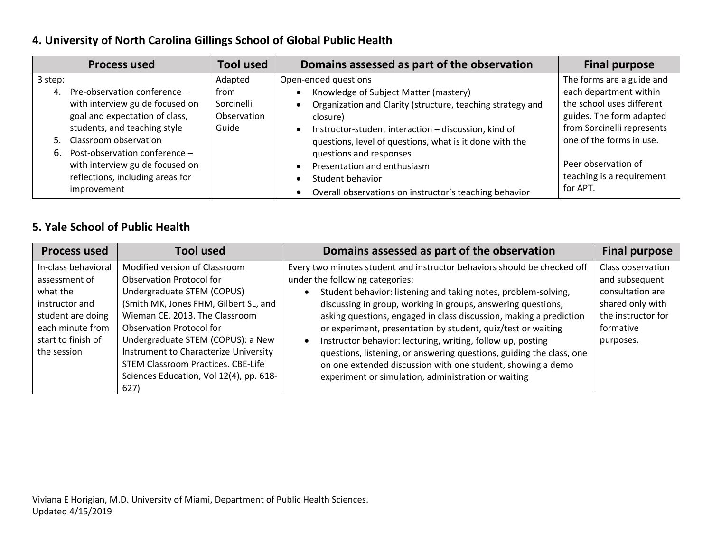## **4. University of North Carolina Gillings School of Global Public Health**

| <b>Tool used</b><br>Domains assessed as part of the observation<br><b>Final purpose</b><br><b>Process used</b>                                                                                                                                                                                                                                                                                                                                                                                                                                                                                                                                                                                                                                                                                                                                                                                                                                                                                                                              |  |
|---------------------------------------------------------------------------------------------------------------------------------------------------------------------------------------------------------------------------------------------------------------------------------------------------------------------------------------------------------------------------------------------------------------------------------------------------------------------------------------------------------------------------------------------------------------------------------------------------------------------------------------------------------------------------------------------------------------------------------------------------------------------------------------------------------------------------------------------------------------------------------------------------------------------------------------------------------------------------------------------------------------------------------------------|--|
| The forms are a guide and<br>Open-ended questions<br>Adapted<br>3 step:<br>each department within<br>Pre-observation conference -<br>Knowledge of Subject Matter (mastery)<br>from<br>4.<br>the school uses different<br>with interview guide focused on<br>Sorcinelli<br>Organization and Clarity (structure, teaching strategy and<br>$\bullet$<br>Observation<br>goal and expectation of class,<br>guides. The form adapted<br>closure)<br>students, and teaching style<br>from Sorcinelli represents<br>Guide<br>Instructor-student interaction - discussion, kind of<br>$\bullet$<br>one of the forms in use.<br>5. Classroom observation<br>questions, level of questions, what is it done with the<br>6. Post-observation conference -<br>questions and responses<br>Peer observation of<br>with interview guide focused on<br>Presentation and enthusiasm<br>teaching is a requirement<br>reflections, including areas for<br>Student behavior<br>for APT.<br>improvement<br>Overall observations on instructor's teaching behavior |  |

#### **5. Yale School of Public Health**

| <b>Process used</b>                                                                                                                              | Tool used                                                                                                                                                                                                                                                                                                                                                                                  | Domains assessed as part of the observation                                                                                                                                                                                                                                                                                                                                                                                                                                                                                                                                                                                                                   | <b>Final purpose</b>                                                                                                        |
|--------------------------------------------------------------------------------------------------------------------------------------------------|--------------------------------------------------------------------------------------------------------------------------------------------------------------------------------------------------------------------------------------------------------------------------------------------------------------------------------------------------------------------------------------------|---------------------------------------------------------------------------------------------------------------------------------------------------------------------------------------------------------------------------------------------------------------------------------------------------------------------------------------------------------------------------------------------------------------------------------------------------------------------------------------------------------------------------------------------------------------------------------------------------------------------------------------------------------------|-----------------------------------------------------------------------------------------------------------------------------|
| In-class behavioral<br>assessment of<br>what the<br>instructor and<br>student are doing<br>each minute from<br>start to finish of<br>the session | Modified version of Classroom<br><b>Observation Protocol for</b><br>Undergraduate STEM (COPUS)<br>(Smith MK, Jones FHM, Gilbert SL, and<br>Wieman CE. 2013. The Classroom<br><b>Observation Protocol for</b><br>Undergraduate STEM (COPUS): a New<br>Instrument to Characterize University<br><b>STEM Classroom Practices. CBE-Life</b><br>Sciences Education, Vol 12(4), pp. 618-<br>627) | Every two minutes student and instructor behaviors should be checked off<br>under the following categories:<br>Student behavior: listening and taking notes, problem-solving,<br>discussing in group, working in groups, answering questions,<br>asking questions, engaged in class discussion, making a prediction<br>or experiment, presentation by student, quiz/test or waiting<br>Instructor behavior: lecturing, writing, follow up, posting<br>$\bullet$<br>questions, listening, or answering questions, guiding the class, one<br>on one extended discussion with one student, showing a demo<br>experiment or simulation, administration or waiting | Class observation<br>and subsequent<br>consultation are<br>shared only with<br>the instructor for<br>formative<br>purposes. |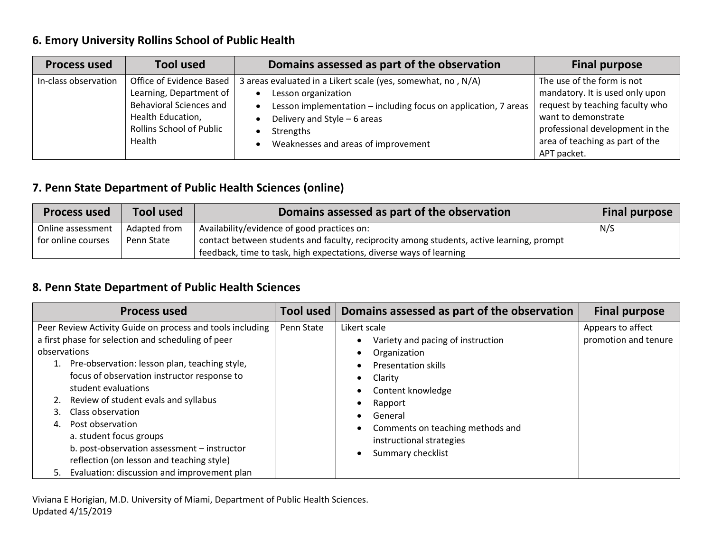#### **6. Emory University Rollins School of Public Health**

| <b>Process used</b>  | <b>Tool used</b>                                                                                                                                 | Domains assessed as part of the observation                                                                                                                                                                                                | <b>Final purpose</b>                                                                                                                                                                                         |
|----------------------|--------------------------------------------------------------------------------------------------------------------------------------------------|--------------------------------------------------------------------------------------------------------------------------------------------------------------------------------------------------------------------------------------------|--------------------------------------------------------------------------------------------------------------------------------------------------------------------------------------------------------------|
| In-class observation | Office of Evidence Based<br>Learning, Department of<br><b>Behavioral Sciences and</b><br>Health Education,<br>Rollins School of Public<br>Health | 3 areas evaluated in a Likert scale (yes, somewhat, no, N/A)<br>Lesson organization<br>Lesson implementation - including focus on application, 7 areas<br>Delivery and Style - 6 areas<br>Strengths<br>Weaknesses and areas of improvement | The use of the form is not<br>mandatory. It is used only upon<br>request by teaching faculty who<br>want to demonstrate<br>professional development in the<br>area of teaching as part of the<br>APT packet. |

# **7. Penn State Department of Public Health Sciences (online)**

| <b>Process used</b> | <b>Tool used</b> | Domains assessed as part of the observation                                               | <b>Final purpose</b> |
|---------------------|------------------|-------------------------------------------------------------------------------------------|----------------------|
| Online assessment   | Adapted from     | Availability/evidence of good practices on:                                               | N/S                  |
| for online courses  | Penn State       | contact between students and faculty, reciprocity among students, active learning, prompt |                      |
|                     |                  | feedback, time to task, high expectations, diverse ways of learning                       |                      |

# **8. Penn State Department of Public Health Sciences**

| <b>Process used</b>                                       | <b>Tool used</b> | Domains assessed as part of the observation | <b>Final purpose</b> |
|-----------------------------------------------------------|------------------|---------------------------------------------|----------------------|
| Peer Review Activity Guide on process and tools including | Penn State       | Likert scale                                | Appears to affect    |
| a first phase for selection and scheduling of peer        |                  | Variety and pacing of instruction           | promotion and tenure |
| observations                                              |                  | Organization                                |                      |
| 1. Pre-observation: lesson plan, teaching style,          |                  | <b>Presentation skills</b>                  |                      |
| focus of observation instructor response to               |                  | Clarity                                     |                      |
| student evaluations                                       |                  | Content knowledge                           |                      |
| 2. Review of student evals and syllabus                   |                  | Rapport                                     |                      |
| Class observation                                         |                  | General                                     |                      |
| Post observation<br>4.                                    |                  | Comments on teaching methods and            |                      |
| a. student focus groups                                   |                  | instructional strategies                    |                      |
| b. post-observation assessment - instructor               |                  | Summary checklist                           |                      |
| reflection (on lesson and teaching style)                 |                  |                                             |                      |
| 5. Evaluation: discussion and improvement plan            |                  |                                             |                      |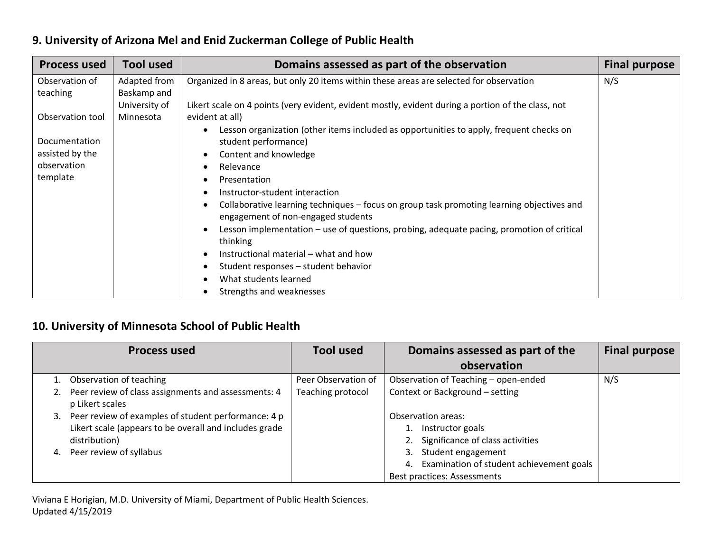## **9. University of Arizona Mel and Enid Zuckerman College of Public Health**

| <b>Process used</b> | <b>Tool used</b> | Domains assessed as part of the observation                                                                                     | <b>Final purpose</b> |
|---------------------|------------------|---------------------------------------------------------------------------------------------------------------------------------|----------------------|
| Observation of      | Adapted from     | Organized in 8 areas, but only 20 items within these areas are selected for observation                                         | N/S                  |
| teaching            | Baskamp and      |                                                                                                                                 |                      |
|                     | University of    | Likert scale on 4 points (very evident, evident mostly, evident during a portion of the class, not                              |                      |
| Observation tool    | Minnesota        | evident at all)                                                                                                                 |                      |
|                     |                  | Lesson organization (other items included as opportunities to apply, frequent checks on                                         |                      |
| Documentation       |                  | student performance)                                                                                                            |                      |
| assisted by the     |                  | Content and knowledge                                                                                                           |                      |
| observation         |                  | Relevance                                                                                                                       |                      |
| template            |                  | Presentation                                                                                                                    |                      |
|                     |                  | Instructor-student interaction                                                                                                  |                      |
|                     |                  | Collaborative learning techniques - focus on group task promoting learning objectives and<br>engagement of non-engaged students |                      |
|                     |                  | Lesson implementation - use of questions, probing, adequate pacing, promotion of critical<br>thinking                           |                      |
|                     |                  | Instructional material - what and how                                                                                           |                      |
|                     |                  | Student responses - student behavior                                                                                            |                      |
|                     |                  | What students learned                                                                                                           |                      |
|                     |                  | Strengths and weaknesses                                                                                                        |                      |

#### **10. University of Minnesota School of Public Health**

|          | <b>Process used</b>                                                                                                                                       | <b>Tool used</b>    | Domains assessed as part of the                                                                                    | <b>Final purpose</b> |
|----------|-----------------------------------------------------------------------------------------------------------------------------------------------------------|---------------------|--------------------------------------------------------------------------------------------------------------------|----------------------|
|          |                                                                                                                                                           |                     | observation                                                                                                        |                      |
|          | 1. Observation of teaching                                                                                                                                | Peer Observation of | Observation of Teaching - open-ended                                                                               | N/S                  |
|          | 2. Peer review of class assignments and assessments: 4<br>p Likert scales                                                                                 | Teaching protocol   | Context or Background - setting                                                                                    |                      |
| 3.<br>4. | Peer review of examples of student performance: 4 p<br>Likert scale (appears to be overall and includes grade<br>distribution)<br>Peer review of syllabus |                     | Observation areas:<br>Instructor goals<br>1.<br>Significance of class activities<br>2.<br>Student engagement<br>3. |                      |
|          |                                                                                                                                                           |                     | Examination of student achievement goals<br>4.<br>Best practices: Assessments                                      |                      |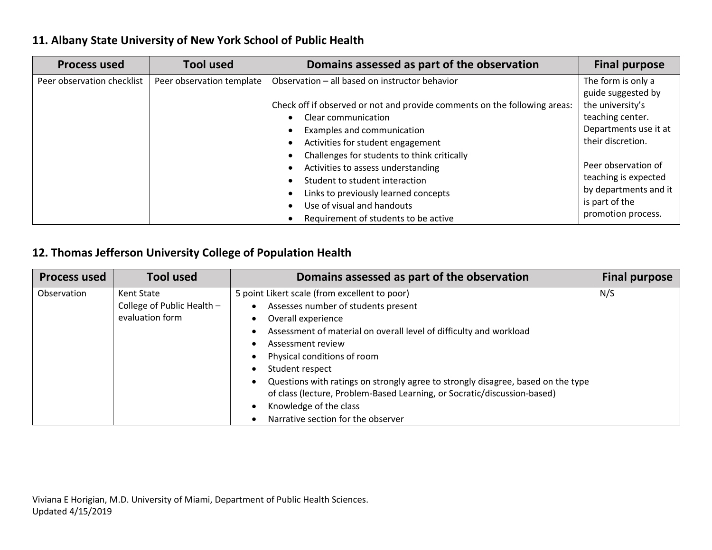## **11. Albany State University of New York School of Public Health**

| <b>Process used</b>        | <b>Tool used</b>          | Domains assessed as part of the observation                               | <b>Final purpose</b>  |
|----------------------------|---------------------------|---------------------------------------------------------------------------|-----------------------|
| Peer observation checklist | Peer observation template | Observation - all based on instructor behavior                            | The form is only a    |
|                            |                           |                                                                           | guide suggested by    |
|                            |                           | Check off if observed or not and provide comments on the following areas: | the university's      |
|                            |                           | Clear communication                                                       | teaching center.      |
|                            |                           | Examples and communication                                                | Departments use it at |
|                            |                           | Activities for student engagement                                         | their discretion.     |
|                            |                           | Challenges for students to think critically                               |                       |
|                            |                           | Activities to assess understanding                                        | Peer observation of   |
|                            |                           | Student to student interaction                                            | teaching is expected  |
|                            |                           | Links to previously learned concepts                                      | by departments and it |
|                            |                           | Use of visual and handouts                                                | is part of the        |
|                            |                           | Requirement of students to be active                                      | promotion process.    |

## **12. Thomas Jefferson University College of Population Health**

| <b>Process used</b> | <b>Tool used</b>           | Domains assessed as part of the observation                                      | <b>Final purpose</b> |
|---------------------|----------------------------|----------------------------------------------------------------------------------|----------------------|
| Observation         | Kent State                 | 5 point Likert scale (from excellent to poor)                                    | N/S                  |
|                     | College of Public Health - | Assesses number of students present                                              |                      |
|                     | evaluation form            | Overall experience                                                               |                      |
|                     |                            | Assessment of material on overall level of difficulty and workload               |                      |
|                     |                            | Assessment review                                                                |                      |
|                     |                            | Physical conditions of room                                                      |                      |
|                     |                            | Student respect                                                                  |                      |
|                     |                            | Questions with ratings on strongly agree to strongly disagree, based on the type |                      |
|                     |                            | of class (lecture, Problem-Based Learning, or Socratic/discussion-based)         |                      |
|                     |                            | Knowledge of the class                                                           |                      |
|                     |                            | Narrative section for the observer                                               |                      |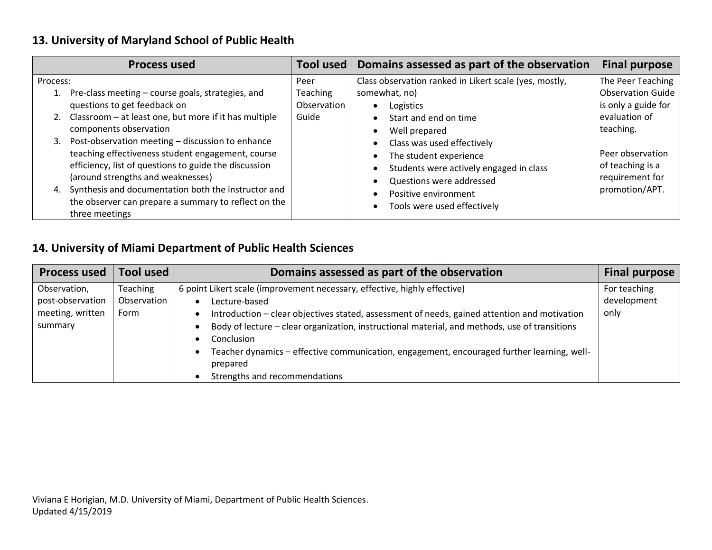## **13. University of Maryland School of Public Health**

| <b>Process used</b>                                                                                                                                                                                                                                                                                                                                                     | Tool used                                       | Domains assessed as part of the observation                                                                                                                                                                                                                                       | <b>Final purpose</b>                                                                   |
|-------------------------------------------------------------------------------------------------------------------------------------------------------------------------------------------------------------------------------------------------------------------------------------------------------------------------------------------------------------------------|-------------------------------------------------|-----------------------------------------------------------------------------------------------------------------------------------------------------------------------------------------------------------------------------------------------------------------------------------|----------------------------------------------------------------------------------------|
| Process:<br>1. Pre-class meeting - course goals, strategies, and<br>questions to get feedback on<br>2. Classroom - at least one, but more if it has multiple                                                                                                                                                                                                            | Peer<br><b>Teaching</b><br>Observation<br>Guide | Class observation ranked in Likert scale (yes, mostly,<br>somewhat, no)<br>Logistics<br>$\bullet$<br>Start and end on time<br>$\bullet$                                                                                                                                           | The Peer Teaching<br><b>Observation Guide</b><br>is only a guide for<br>evaluation of  |
| components observation<br>3. Post-observation meeting - discussion to enhance<br>teaching effectiveness student engagement, course<br>efficiency, list of questions to guide the discussion<br>(around strengths and weaknesses)<br>Synthesis and documentation both the instructor and<br>4.<br>the observer can prepare a summary to reflect on the<br>three meetings |                                                 | Well prepared<br>$\bullet$<br>Class was used effectively<br>$\bullet$<br>The student experience<br>$\bullet$<br>Students were actively engaged in class<br>$\bullet$<br>Questions were addressed<br>Positive environment<br>$\bullet$<br>Tools were used effectively<br>$\bullet$ | teaching.<br>Peer observation<br>of teaching is a<br>requirement for<br>promotion/APT. |

## **14. University of Miami Department of Public Health Sciences**

| <b>Process used</b>                                             | <b>Tool used</b>                | Domains assessed as part of the observation                                                                                                                                                                                                                                                                                                                                                                                                          | <b>Final purpose</b>                |
|-----------------------------------------------------------------|---------------------------------|------------------------------------------------------------------------------------------------------------------------------------------------------------------------------------------------------------------------------------------------------------------------------------------------------------------------------------------------------------------------------------------------------------------------------------------------------|-------------------------------------|
| Observation,<br>post-observation<br>meeting, written<br>summary | Teaching<br>Observation<br>Form | 6 point Likert scale (improvement necessary, effective, highly effective)<br>Lecture-based<br>Introduction – clear objectives stated, assessment of needs, gained attention and motivation<br>Body of lecture - clear organization, instructional material, and methods, use of transitions<br>Conclusion<br>Teacher dynamics - effective communication, engagement, encouraged further learning, well-<br>prepared<br>Strengths and recommendations | For teaching<br>development<br>only |